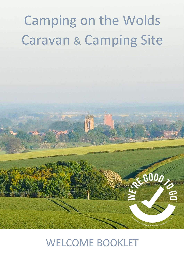# Camping on the Wolds Caravan & Camping Site

## WELCOME BOOKLET

 $600/$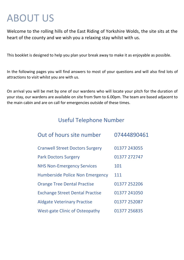## ABOUT US

Welcome to the rolling hills of the East Riding of Yorkshire Wolds, the site sits at the heart of the county and we wish you a relaxing stay whilst with us.

This booklet is designed to help you plan your break away to make it as enjoyable as possible.

In the following pages you will find answers to most of your questions and will also find lots of attractions to visit whilst you are with us.

On arrival you will be met by one of our wardens who will locate your pitch for the duration of your stay, our wardens are available on site from 9am to 6.00pm. The team are based adjacent to the main cabin and are on call for emergencies outside of these times.

## Useful Telephone Number

| Out of hours site number               | 07444890461  |
|----------------------------------------|--------------|
| <b>Cranwell Street Doctors Surgery</b> | 01377 243055 |
| <b>Park Doctors Surgery</b>            | 01377 272747 |
| <b>NHS Non-Emergency Services</b>      | 101          |
| <b>Humberside Police Non Emergency</b> | 111          |
| <b>Orange Tree Dental Practise</b>     | 01377 252206 |
| <b>Exchange Street Dental Practise</b> | 01377 241050 |
| <b>Aldgate Veterinary Practise</b>     | 01377 252087 |
| <b>West-gate Clinic of Osteopathy</b>  | 01377 256835 |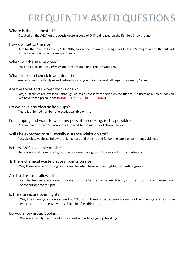## FREQUENTLY ASKED QUESTIONS

## Where is the site located?

Situated on the A614 on the south western edge of Driffield, based on the Driffield Showground.

## How do I get to the site?

Aim for the town of Driffield, YO25 9DN, follow the brown tourist signs for Driffield Showground on the outskirts of the town directly to our main entrance.

### When will the site be open?

The site opens on the 21<sup>st</sup> May and runs through until the 4th October.

## What time can I check in and depart?

You can check in after 1pm and before 8pm on your day of arrival, all departures are by 12pm.

### Are the toilet and shower blocks open?

Yes, all facilities are available, although we ask all those with their own facilities to use them as much as possible. We have taken precautions (SUBJECT TO COVID RESTRICTIONS)

## Do we have any electric hook ups?

There is a limited number of electric available on site.

## I'm camping and want to wash my pots after cooking, is this possible?

Yes, we have hot water potwash set up next to the main toilet shower block.

### Will I be expected to still socially distance whilst on site?

Yes, absolutely, please follow the signage around the site and follow the latest government guidance.

## Is there WIFI available on site?

There is no WIFI cover on site, but the site does have good 4G coverage for most networks.

### Is there chemical waste disposal points on site?

Yes, there are two tipping points on the site. these will be highlighted with signage.

## Are barbecues allowed?

Yes, barbecues are allowed, please do not site the barbecue directly on the ground and please finish barbecuing before 9pm.

### Is the site secure over night?

Yes, the main gates are secured at 10.30pm. There is pedestrian access via the main gate at all times with a car park to leave your vehicle in after this time.

### Do you allow group booking?

We are a family friendly site so do not allow large group bookings.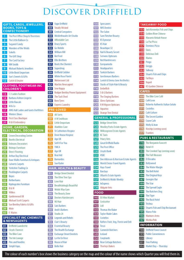## DISCOVER DRIFFIELD

|                         | <b>GIFTS, CARDS, JEWELLERS,</b><br><b>BOOKS, TOYS &amp;</b><br><b>CONFECTIONERY</b> | 47<br>48<br>49 | Vape Driffield<br><b>Totally Wicker</b><br>Central Comp |
|-------------------------|-------------------------------------------------------------------------------------|----------------|---------------------------------------------------------|
|                         | The Post Office Shop & Thorntons                                                    | 50             | Micklethwaite                                           |
| -21                     | The Little Balloon Co                                                               | 51             | Affordable Ca                                           |
| $\overline{\mathbf{3}}$ | <b>Sugared Candy</b>                                                                |                | 52 Drury Sports                                         |
| $\mathbf{A}$            | Wonders of the Wolds                                                                | 53             | Go Mobile                                               |
| 5 <sub>1</sub>          | Sokells                                                                             | 54             | William Hill                                            |
|                         | 6 The Gift Shop                                                                     |                | 55 Bet Fred                                             |
|                         | <b>7.</b> The Card Factory                                                          |                | 56 Ellis Brothers                                       |
| 8 <sub>1</sub>          | <b>WH Smith</b>                                                                     | 57             | Boots the Che                                           |
| 9 <sup>1</sup>          | Michael Roberts Jewellers                                                           | 58             | Superdrug                                               |
|                         | 10 Little Book Emporium                                                             | 59             | Driffield Cobb                                          |
|                         | 11 Sue's Sweets & Gifts                                                             | 60             | <b>White Rose Fl</b>                                    |
|                         | 12 Catch & Empire                                                                   |                | 61 Motorcount Lt                                        |
|                         | <b>CLOTHES, FOOTWEAR INC</b>                                                        |                | 62 Martins News                                         |
|                         | <b>CHILDREN'S</b>                                                                   | 63             | Sew Happy                                               |
|                         | <b>13</b> CJ Ladies Fashion                                                         |                | 64 Rodger Bentle                                        |
|                         | 14 Barbara Ashton Lingerie                                                          |                | 65 The Tack Shed                                        |
|                         | <b>15</b> Little Rascals                                                            |                | 66 Boro Tyres                                           |
|                         | 16 M&Co                                                                             |                | 67 Express Laund                                        |
|                         | 17 AWG Hall Ladies and Gents Outfitters                                             |                | <b>PRE-LOVED</b>                                        |
|                         | <b>18</b> Winters Shoes                                                             | 68             | All Sorts                                               |
|                         | 19 First Class Boutique                                                             | 69             | A W Smithson                                            |
|                         | 20 H&K Embroidery                                                                   | 70.            | Little Emporit                                          |
|                         | <b>HOME, GARDEN,</b>                                                                |                | Aladdins Cave                                           |
|                         | <b>ELECTRICAL, DECORATION</b>                                                       |                | <b>St Catherines</b>                                    |
| 21                      | Crown Decorating Centre                                                             |                | Dove House H                                            |
|                         | 22 Booths Electrical                                                                | 741            | Age UK                                                  |
|                         | <b>23</b> Dobsons Decorators                                                        |                | Sell It For You                                         |
|                         | 24 Bishops Furniture                                                                |                | 76 YMCA                                                 |
|                         | 25 Direct Flooring                                                                  |                | Age UK                                                  |
|                         | 26 Arthur Day Electrical                                                            |                | Real Aid                                                |
|                         | 27 Dave Wallis Furniture & Antiques                                                 |                | Barnardos.                                              |
| 28                      | <b>Calverts Carpets</b>                                                             | 80             | Sue Ryder                                               |
| 29                      | Yorkshire Trading Co                                                                |                | <b>HAIR, HEALT</b>                                      |
| 30                      | <b>Pocklington Carpets</b>                                                          | 81.            | <b>Bridge Street</b>                                    |
| 31.                     | <b>Boyes</b>                                                                        | 82             | The Olive Tree                                          |
| 32.                     | <b>Rotherhams</b>                                                                   | 83             | Love Hair                                               |
| 33.                     | <b>Kiplingcotes Furniture</b>                                                       | 84             | Breathtaking                                            |
| 34                      | <b>B&amp;M</b>                                                                      | 85             | Wolds Way Gy                                            |
| 35                      | Wilkos                                                                              | 86             | The Beauty Zo                                           |
| 36.                     | Gardenwood UK                                                                       | 87             | Dexters Haird                                           |
|                         | Michael Scott Carpets                                                               | 88             | MJ Hair                                                 |
| 38                      | Sue Bentley Fabrics & Gifts                                                         | 89             | Sals Barbers                                            |
| 39                      | Mole                                                                                | 90             | Andi's Barbers                                          |
| 40                      | F. Waites                                                                           | 91.            | Studio 24                                               |
|                         | <b>SPECIALIST INC CHEMISTS</b>                                                      | 92             | Legends and                                             |
|                         | <b>&amp; NEWSAGENTS</b>                                                             | 93             | <b>Clair's Beauty</b>                                   |
| 41.                     | Driffield Laundrette                                                                | 94             | <b>Essential Bear</b>                                   |
| 42                      | Lloyds Chemist                                                                      | 95             | The Health Ex                                           |
| 43                      | The Bike Cave                                                                       | 96             | <b>Exchange Stre</b>                                    |
| 44                      | The Ink Lounge                                                                      | 97.            | La Vie En Rose                                          |
| 45                      | <b>Pins and Needles</b>                                                             | 98             | House of Hair                                           |
| 46                      | Simpli Vape,                                                                        | 99             | <b>Belle Hair</b>                                       |

| Vape Driffield                                    | 100        |
|---------------------------------------------------|------------|
| <b>Totally Wicked</b>                             | 101        |
| <b>Central Computers</b>                          | 102        |
| Micklethwaite Art Studio                          | 103        |
| Affordable Cars                                   | 104        |
| Drury Sports                                      | 105        |
| Go Mobile                                         | 106        |
| William Hill                                      | 107        |
| <b>Bet Fred</b>                                   | 108        |
| <b>Ellis Brothers</b>                             | 109        |
| Boots the Chemist                                 | 110        |
| Superdrug                                         | 111        |
| Driffield Cobbler                                 | 112        |
| <b>White Rose Florist</b>                         | 113        |
| Motorcount Ltd                                    | 114        |
| Martins Newsagent                                 | 115        |
| Sew Happy                                         | 116        |
| Rodger Bentley Power Equipment                    | 117        |
| The Tack Shed                                     | 118        |
| Boro Tyres                                        | 119        |
| <b>Express Laundry</b>                            | 120        |
| <b>E-LOVED</b>                                    | 121        |
| All Sorts                                         | 122        |
| A W Smithson                                      | GE         |
| Little Emporium                                   | 123        |
| Aladdins Cave                                     | 124        |
| St Catherines Hospice                             | 125        |
| Dove House Hospice                                | 126        |
| Age UK                                            | 127        |
| Sell It For You                                   | 128        |
| <b>YMCA</b>                                       | 129        |
| Age UK                                            | 130        |
| Real Aid                                          | 131        |
| Barnardos.                                        | 132        |
| Sue Ryder                                         | 133        |
| <b>IR, HEALTH &amp; BEAUTY</b>                    | 134        |
|                                                   | 135        |
| <b>Bridge Street Dentist</b>                      | 136        |
| The Olive Tree Spa                                | 137        |
| Love Hair                                         | 138        |
| Breathtakingly Beautiful                          | 139        |
| Wolds Way Gym                                     | FO         |
| The Beauty Zone                                   |            |
| Dexters Hairdressers                              | 140        |
| MJ Hair                                           | 141        |
| Sals Barbers                                      | 142        |
| Andi's Barbers                                    | 143        |
| Studio 24                                         | 144        |
| Legends and Rebels                                | 145        |
| Clair's Beauty                                    | 146        |
| <b>Essential Beauty</b>                           | 147        |
| The Health Exchange                               | 148        |
| <b>Exchange Street Dentists</b><br>La Vie En Rose | 149<br>150 |
|                                                   |            |

| 00              | <b>Specsavers</b>                               |     | <b>TAKEAWAY FOOD</b>                 |
|-----------------|-------------------------------------------------|-----|--------------------------------------|
| 01              | <b>NHS Dentist</b>                              | 153 | Jack Kennedys Fish and Chips         |
|                 | 02 The Salon                                    |     | 154 Golden River Chinese             |
| 03              | Sam Fletcher Beauty                             |     | <b>155</b> Maramis Kebab House       |
| 04              | <b>KS Evewear</b>                               |     | <b>156</b> La Paz Pizza              |
| 05              | <b>KS Hair</b>                                  |     | 157 Dominos Pizza                    |
| 06              | Beautique 32                                    |     | 158 Oasis                            |
| 07              | Nail & Beauty Secret                            |     | 159 Delicious Deli                   |
| 08              | <b>Scrivens Opticians</b>                       |     | 160 Marios                           |
| 09              | <b>Red Hairdressers</b>                         |     | 161 Prego                            |
| 10              | Europamoda                                      |     | 162 Greggs                           |
| 11              | <b>Headquarters</b>                             |     | 163 Subway                           |
| 12              | <b>Turkish Barbers</b>                          |     | 164 Stuarts Fish and Chips           |
|                 | 13 Gentlemans Barbers                           |     | 165 Fat Boys                         |
|                 | 14 Lavish & Emma Jane Aesthetics                |     | 166 Napoli                           |
| 15              | Stacks of Style Hair & Beauty                   |     | 167 KS Garden Chinese                |
| 16              | Embellish                                       |     |                                      |
| 17 <sub>1</sub> | S & G Barbers                                   |     | <b>CAFES</b>                         |
| 18              | The Singing Barbers                             | 168 | The Bike Cave Café                   |
| 19              | Glens Opticians                                 |     | 169 Café Leon                        |
|                 | 20 R M Higson Opticians                         | 170 | Roberto Authentic Italian Gelato     |
| 21              | Aquarius                                        | 171 | Costellos                            |
| 22              | Orange Tree Dental                              | 172 | Café Culture                         |
|                 | <b>GENERAL &amp; PROFESSIONAL</b>               | 173 | The Secret Garden                    |
| 23              | <b>Bridge Street Vets</b>                       |     | 174 Cozee Cafe                       |
| 24              | <b>Woolley Parks Estate Agents</b>              |     | 175 Molly & Jean                     |
|                 | Willowgreen Estate Agents                       | 176 | Kinship (coming soon)                |
| 25<br>26        | KC Taxis                                        |     | Frankies                             |
| 27              | Priory Vets                                     |     | <b>PUBS &amp; RESTAURANTS</b>        |
| 28              | Great Driffield Radio                           |     | 178 The Benjamin Fawcett             |
| 29              | The Post Office                                 |     | 179 Hotel 41                         |
| 30              | Lloyds Bank                                     |     | 180 The Crooked Tap (coming soon)    |
|                 | 31 HSBC                                         |     | 181 The Full Measure                 |
|                 | <b>B2</b> Dee Atkinson & Harrison Estate Agents |     | 182 El Dorados                       |
| 33              | World Choice Travel Agents                      |     | 183 Bollywood                        |
| 34              | <b>Hays Travel</b>                              | 184 | The Water Margin                     |
| 35              | <b>Barclays</b>                                 |     | 185 The Bell Hotel                   |
| 36              | <b>Ullyotts Estate Agents</b>                   |     | <b>186</b> The Original Keys         |
| 37              | Driffield & Wolds Weekly                        | 187 | Georgies Bar                         |
| 38              | <b>InExpress</b>                                |     | 188 The Star                         |
| 39              | Aldgate Vets                                    |     | 189 The Spread Eagle                 |
|                 |                                                 |     | 190 The Butchers Dog                 |
|                 | FOOD                                            |     | 191 The Tiger                        |
|                 | 40 EU Mini Market                               | 192 | <b>The Buck Hotel</b>                |
| 41              | Costcutter                                      |     | 193 Trishna                          |
|                 | 42 Lidi                                         |     | 194 Stuarts Fish and Chip Restaurant |
| 43              | <b>Thomas the Baker</b>                         |     | 195 Marco Polo                       |
| 44              | <b>Taylor Made Cakes</b>                        |     | 196 Mariners Arms                    |
| 45              | Costellos                                       | 197 | Mishka Pub                           |
| 46              | Rafters Fruit, Veg, Florist and Deli            |     |                                      |
| 47              | Tesco                                           |     | <b>INFORMATION</b>                   |
| 48              | Cammish Butchers                                |     | 198 Driffield Town Council           |
|                 | 49 Iceland                                      |     | 199 Public Conveniences              |
|                 | $50$ Cooplands                                  |     | 200 Ilbrary                          |

The colour of each number's box shows the business category on the map and the colour of the name shows which Quarter you will find them in.

**151** Rose Cottage Butchers

**152** Thorleys Bakers

201 Free Parking

202 Market Day - Thursday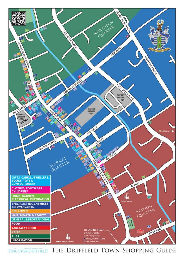

DISCOVER DRIFFIELD THE DRIFFIELD TOWN SHOPPING GUIDE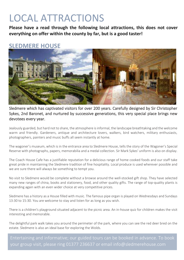## LOCAL ATTRACTIONS

**Please have a read through the following local attractions, this does not cover everything on offer within the county by far, but is a good taster!**

## **SLEDMERE HOUSE**



Sledmere which has captivated visitors for over 200 years. Carefully designed by Sir Christopher Sykes, 2nd Baronet, and nurtured by successive generations, this very special place brings new devotees every year.

Jealously guarded, but hard not to share, the atmosphere is informal, the landscape breathtaking and the welcome warm and friendly. Gardeners, antique and architecture lovers, walkers, bird watchers, military enthusiasts, photographers, painters and music buffs all seem instantly at home.

The wagoner's museum, which is in the entrance area to Sledmere House, tells the story of the Wagoner's Special Reserve with photographs, papers, memorabilia and a medal collection. Sir Mark Sykes' uniform is also on display.

The Coach House Cafe has a justifiable reputation for a delicious range of home cooked foods and our staff take great pride in maintaining the Sledmere tradition of fine hospitality. Local produce is used wherever possible and we are sure there will always be something to tempt you.

No visit to Sledmere would be complete without a browse around the well-stocked gift shop. They have selected many new ranges of china, books and stationery, food, and other quality gifts. The range of top-quality plants is expanding again with an even wider choice at very competitive prices.

Sledmere has a history as a House filled with music. The famous pipe organ is played on Wednesdays and Sundays 13:30 to 15:30. You are welcome to stay and listen for as long as you wish.

There is a children's playground situated adjacent to the picnic area. An in-house quiz for children makes the visit interesting and memorable.

The delightful park walk takes you around the perimeter of the park, where you can see the red deer bred on the estate. Sledmere is also an ideal base for exploring the Wolds.

Entertaining and informative; our guided tours can be booked in advance. To book your group visit, please ring 01377 236637 or email info@sledmerehouse.com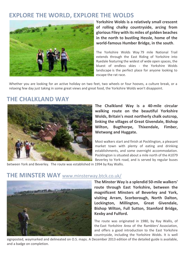## **EXPLORE THE WORLD, EXPLORE THE WOLDS**



**Yorkshire Wolds is a relatively small crescent of rolling chalky countryside, arcing from glorious Filey with its miles of golden beaches in the north to bustling Hessle, home of the world-famous Humber Bridge, in the south**.

The Yorkshire Wolds Way 79 mile National Trail extends through the East Riding of Yorkshire into Ryedale featuring the widest of wide open spaces, the bluest of endless skies - the Yorkshire Wolds landscape is the perfect place for anyone looking to escape the rat race.

Whether you are looking for an active holiday on two feet, two wheels or four hooves, a culture break, or a relaxing few day just taking in some great views and great food, the Yorkshire Wolds won't disappoint.

## **THE CHALKLAND WAY**



**The Chalkland Way is a 40-mile circular walking route on the beautiful Yorkshire Wolds, Britain's most northerly chalk outcrop, linking the villages of Great Givendale, Bishop Wilton, Bugthorpe, Thixendale, Fimber, Wetwang and Huggate.**

Most walkers start and finish at Pocklington, a pleasant market town with plenty of eating and drinking establishments, and some overnight accommodation. Pocklington is situated about a mile north of the A1079 Beverley to York road, and is served by regular buses

between York and Beverley. The route was established in 1994 by Ray Wallis.

## **THE MINSTER WAY** [www.minsterway.btck.co.uk/](http://www.minsterway.btck.co.uk/)



**The Minster Way is a splendid 50-mile walkers' route through East Yorkshire, between the magnificent Minsters of Beverley and York, visiting Arram, Scorborough, North Dalton, Lockington, Millington, Great Givendale, Bishop Wilton, Full Sutton, Stamford Bridge, Kexby and Fulford.**

The route was originated in 1980, by Ray Wallis, of the [East Yorkshire Area of the Ramblers'](http://www.eastyorkshireramblers.org.uk/) Association, and offers a good introduction to the East Yorkshire countryside, including the Yorkshire Wolds. It is well

signposted, waymarked and delineated on O.S. maps. A December 2013 edition of the detailed guide is available, and a badge on completion.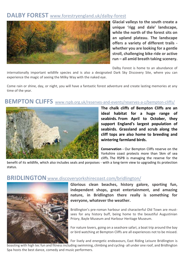## **DALBY FOREST** [www.forestryengland.uk/dalby-forest](http://www.forestryengland.uk/dalby-forest)



**Glacial valleys to the south create a unique 'rigg and dale' landscape, while the north of the forest sits on an upland plateau. The landscape offers a variety of different trails whether you are looking for a gentle stroll, challenging bike ride or active run – all amid breath taking scenery.**

Dalby Forest is home to an abundance of

internationally important wildlife species and is also a designated Dark Sky Discovery Site, where you can experience the magic of seeing the Milky Way with the naked eye.

Come rain or shine, day, or night, you will have a fantastic forest adventure and create lasting memories at any time of the year.

## **BEMPTON CLIFFS** www.rspb.org.uk/reserves-and-events/reserves-a-z/bempton-cliffs/



**The chalk cliffs of Bempton Cliffs are an ideal habitat for a huge range of seabirds. From April to October, they support England's largest population of seabirds. Grassland and scrub along the cliff tops are also home to breeding and wintering farmland birds.**

**Conservation -** Our Bempton Cliffs reserve on the Yorkshire coast protects more than 5km of sea cliffs. The RSPB is managing the reserve for the

benefit of its wildlife, which also includes seals and porpoises - with a long-term view to upgrading its protection status.

## **BRIDLINGTON** www.discoveryorkshirecoast.com/bridlington/



**Glorious clean beaches, history galore, sporting fun, independent shops, great entertainment, and amazing nature, in Bridlington there really is something for everyone, whatever the weather.**

Bridlington's [pre-roman harbour](https://www.discoveryorkshirecoast.com/bridlington/thedms.aspx?dms=11&ids=2295909_) and characterful Old Town are mustsees for any history buff, being home to the beautiful Augustinian Priory[, Bayle Museum](https://www.discoveryorkshirecoast.com/bridlington/thedms.aspx?dms=11&ids=1570195_) and [Harbour Heritage Museum.](https://www.discoveryorkshirecoast.com/bridlington/thedms.aspx?dms=11&ids=1583659_)

For nature lovers, going on a seashore safari, a boat trip around the bay or bird watching a[t Bempton Cliffs](https://www.discoveryorkshirecoast.com/bridlington/thedms.aspx?dms=11&ids=2172918_) are all experiences not to be missed.

For lively and energetic endeavours, [East Riding Leisure Bridlington](https://www.discoveryorkshirecoast.com/bridlington/thedms.aspx?dms=11&ids=2053020_) is

boasting with high tec fun and fitness including swimming, climbing and cycling- all under one roof, an[d Bridlington](https://www.discoveryorkshirecoast.com/bridlington/thedms.aspx?dms=11&ids=2175140_)  [Spa h](https://www.discoveryorkshirecoast.com/bridlington/thedms.aspx?dms=11&ids=2175140_)osts the best dance, comedy and music performers.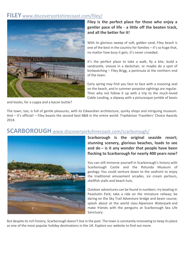## **FILEY** [www.discoveryorkshirecoast.com/filey/](http://www.discoveryorkshirecoast.com/filey/)



## **Filey is the perfect place for those who enjoy a gentler pace of life - a little off the beaten track, and all the better for it!**

With its glorious sweep of soft, golden sand, Filey beach is one of the best in the country for families – it's so huge that, no matter how busy it gets, it's never crowded.

It's the perfect place to take a walk, fly a kite, build a sandcastle, snooze in a deckchair, or maybe do a spot of birdwatching – Filey Brigg, a peninsula at the northern end of the town.

Early spring may find you face to face with a snoozing seal on the beach, and in summer porpoise sightings are regular. Then why not follow it up with a trip to the much-loved Coble Landing, a slipway with a picturesque jumble of boats

and kiosks, for a cuppa and a bacon buttie?

The town, too, is full of gentle pleasures, with its Edwardian architecture, quirky shops and intriguing museum. And – it's official! – Filey boasts the second best B&B in the entire world: TripAdvisor Travellers' Choice Awards 2014.



## **SCARBOROUGH** www.discoveryorkshirecoast.com/scarborough/

**Scarborough is the original seaside resort; stunning scenery, glorious beaches, loads to see and do – is it any wonder that people have been flocking to Scarborough for nearly 400 years now?**

You can still immerse yourself in Scarborough's history with [Scarborough Castle](https://www.discoveryorkshirecoast.com/scarborough/thedms.aspx?dms=11&ids=1710786_) and the [Rotunda Museum of](https://www.discoveryorkshirecoast.com/scarborough/thedms.aspx?dms=11&ids=1582174_)  [geology.](https://www.discoveryorkshirecoast.com/scarborough/thedms.aspx?dms=11&ids=1582174_) You could venture down to the seafront to enjoy the traditional amusement arcades, ice cream parlours, shellfish stalls and beach huts.

Outdoor adventures can be found in numbers: try boating in [Peasholm Park;](https://www.discoveryorkshirecoast.com/scarborough/thedms.aspx?dms=11&ids=1710588_) take a ride on the [miniature railway;](https://www.discoveryorkshirecoast.com/scarborough/thedms.aspx?dms=11&ids=1581690_) be daring on the [Sky Trail Adventure](https://www.discoveryorkshirecoast.com/scarborough/thedms.aspx?dms=11&ids=1581690_) bridge and beam course; splash about at the world class [Alpamare Waterpark](https://www.discoveryorkshirecoast.com/scarborough/thedms.aspx?dms=11&ids=3630350_) and make friends with the penguins at [Scarborough Sea Life](https://www.discoveryorkshirecoast.com/scarborough/thedms.aspx?dms=11&ids=1582450_)  [Sanctuary.](https://www.discoveryorkshirecoast.com/scarborough/thedms.aspx?dms=11&ids=1582450_)

But despite its rich history, Scarborough doesn't live in the past. The town is constantly innovating to keep its place as one of the most popular holiday destinations in the UK. Explore our website to find out more.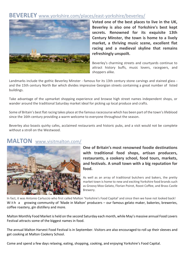## **BEVERLEY** [www.yorkshire.com/places/east-yorkshire/beverley/](http://www.yorkshire.com/places/east-yorkshire/beverley/)



**Voted one of the best places to live in the UK, Beverley is also one of Yorkshire's best kept secrets. Renowned for its exquisite 13th Century Minster, the town is home to a lively market, a thriving music scene, excellent flat racing and a medieval skyline that remains refreshingly unspoilt.**

Beverley's charming streets and courtyards continue to attract history buffs, music lovers, racegoers, and shoppers alike.

Landmarks include the gothic Beverley Minster - famous for its 13th century stone carvings and stained glass and the 15th century North Bar which divides impressive Georgian streets containing a great number of listed buildings.

Take advantage of the upmarket shopping experience and browse high street names independent shops, or wander around the traditional Saturday market ideal for picking up local produce and crafts.

Some of Britain's best flat racing takes place at the famous racecourse which has been part of the town's lifeblood since the 16th century providing a warm welcome to everyone throughout the season.

Beverley also boasts quirky cafes, acclaimed restaurants and historic pubs, and a visit would not be complete without a stroll on the Westwood.

## **MALTON** [www.visitmalton.com/](https://www.visitmalton.com/)



**One of Britain's most renowned foodie destinations with traditional food shops, artisan producers, restaurants, a cookery school, food tours, markets, and festivals. A small town with a big reputation for food.**

As well as an array of traditional butchers and bakers, the pretty market town is home to new and exciting Yorkshire food brands such as Groovy Moo Gelato, Florian Poirot, Roost Coffee, and Brass Castle Brewery.

In fact, it was Antonio Carluccio who first called Malton 'Yorkshire's Food Capital' and since then we have not looked back! With a growing community of 'Made in Malton' producers - our famous gelato maker, bakeries, breweries, coffee roastery, gin distillery and more.

Malton Monthly Food Market is held on the second Saturday each month, while May's massive annual Food Lovers Festival attracts some of the biggest names in food.

The annual Malton Harvest Food Festival is in September. Visitors are also encouraged to roll up their sleeves and get cooking at Malton Cookery School.

Come and spend a few days relaxing, eating, shopping, cooking, and enjoying Yorkshire's Food Capital.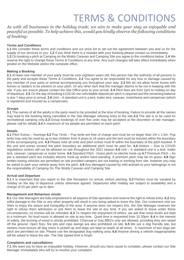## TERMS & CONDITIONS

*As with all businesses in the holiday trade, we aim to make your stay as enjoyable and peaceful as possible. To help achieve this, would you kindly observe the following conditions of booking:*

#### **Terms and Conditions**

**1.1** We consider these terms and conditions and our price list to set out the agreement between you and us for the supply of our services to you. **1.2** If you think there is a mistake with your booking please contact us immediately. **1.3** On booking a pitch at Camping on the Wolds Caravan and Camping Site you agree to the conditions below. **1.4** We reserve the right to change these Terms & Conditions at any time. Any such changes will take effect immediately when posted on the Website and/or the campsite office.

#### **Making a Booking**

**2.1** At least one member of your party must be over eighteen years old; this person has the authority of all persons in the party and accepts these Terms & Conditions. **2.2** You agree to be responsible for any loss or damage caused by any member of your party or animal accompanying you throughout your stay. **2.3** We do not allow horse boxes with horses or ladders to be present on your pitch. Or any other item that the manager deems to be not in keeping with the site. If you are unsure please contact the Site Office prior to your arrival. **2.4** Pitch fees are from 1pm to midday on day of departure. **2.5** On the day of booking a £20.00 non-refundable deposit per pitch is required and the remaining balance is due 7 days prior to arrival. **2.6** Unit – A standard unit is a tent, trailer tent, caravan, motorhome and campervan (which is registered and insured as a campervan).

#### **Groups**

**3.1** The names of all the adults in the party need to be provided at the time of booking. Failure to provide all the names may lead to the booking being cancelled or the Site Manager refusing entry to the site.**3.2** The site is to be used for recreational camping only.**3.3** Group bookings of over five units may be accepted at the discretion of site manager, please call for details.**3.4** A maximum of six people are permitted on each pitch.

#### **Details**

**4.1** Pitch Extras – Awnings **4.2** Pup Tents – Pup tents are free of charge and must be no larger than 2m x 1.5m. Pup tents may only be used by up to two children from 9 years to 16 years and the tent must be erected within the boundary of the accompanying unit. **4.3** Please note all units and pitch extras must fit within the boundary of the pitch booked. If the unit and extras exceed the pitch boundary an additional pitch must be paid for. **4.4** Visitors – Due to COVID regulations visitors will not be allowed on site throughout the 2021 season **4.5** Unit – A standard unit is a tent, trailer tent, caravan, campervan or motor home. **4.6** Standard Pitch - Grass pitch no electric hook-up **4.7** Premium Pitch – As per a standard pitch but includes electric hook-up and/or hard-standing. A premium pitch may be on grass. **4.8** Sign written towing vehicles are permitted on site provided campers are not trading or working from site, however you may be asked to park your vehicle away from the pitch. **4.9** Any damaged caused by wild animals to your belongings is not the responsibility of Camping On The Wolds Caravan and Camping Site.

#### **Arrival and Departure**

**5.1** It is important that you report to the Site Reception on arrival, before pitching. **5.2** Pitches must be vacated by midday on the day of departure unless otherwise agreed. Departures after midday are subject to availability and a charge of £5 per pitch up to 4pm.

#### **Management and Behaviour onsite**

**6.1** Our Site Managers are fully empowered in all aspects of Site operation and reserve the right to refuse entry. **6.2** Any wilful damage to the Site or any other property will result in you being asked to leave the Site. Our customers visit our Sites to enjoy the peace and tranquillity of the area. If anyone does not respect this, the Site Manager reserves the right to refuse them admission or ask them to leave the site at any time. If you are asked to leave under these circumstances, no monies will be refunded. **6.3** To respect the enjoyment of others, we ask that noise levels are kept to a minimum. No loud music is allowed on site at any time. Quiet time is requested from 10.30pm. **6.4** in the interest of safety, the burning of wood is strictly prohibited. Charcoal or Gas BBQ's only are allowed, providing they are raised off the ground. Open fires, fire pits and rope swings are also prohibited on site. **6.5** We are a dog friendly site, but owners must ensure all dog mess is picked up and dogs are kept on leads at all times. A maximum of two dogs per pitch are permitted on site. Please use the designated dog walking area. **6.6** Anyone driving a vehicle inappropriately will be asked to leave the site. The Site Speed limit is 5mph.

#### **Complaints and cancellations**

**7.1** We want you to have an enjoyable holiday. However, should you have cause to complain, please contact our Site Manager immediately who will try to resolve your complaint.